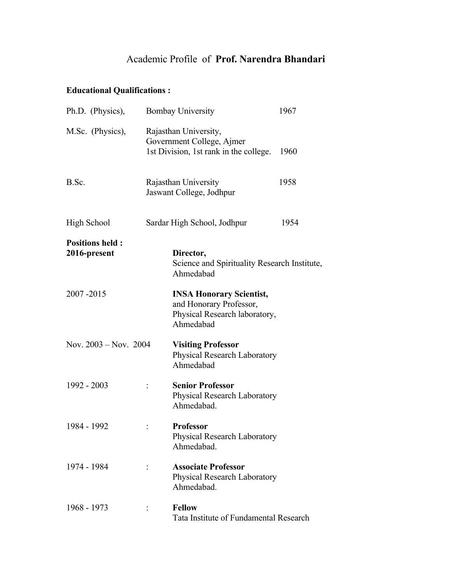## Academic Profile of **Prof. Narendra Bhandari**

### **Educational Qualifications :**

| Ph.D. (Physics),                       | <b>Bombay University</b>                                                                                 | 1967 |
|----------------------------------------|----------------------------------------------------------------------------------------------------------|------|
| M.Sc. (Physics),                       | Rajasthan University,<br>Government College, Ajmer<br>1st Division, 1st rank in the college.             | 1960 |
| B.Sc.                                  | Rajasthan University<br>Jaswant College, Jodhpur                                                         | 1958 |
| High School                            | Sardar High School, Jodhpur                                                                              | 1954 |
| <b>Positions held:</b><br>2016-present | Director,<br>Science and Spirituality Research Institute,<br>Ahmedabad                                   |      |
| 2007-2015                              | <b>INSA Honorary Scientist,</b><br>and Honorary Professor,<br>Physical Research laboratory,<br>Ahmedabad |      |
| Nov. 2003 – Nov. 2004                  | <b>Visiting Professor</b><br>Physical Research Laboratory<br>Ahmedabad                                   |      |
| 1992 - 2003                            | <b>Senior Professor</b><br>Physical Research Laboratory<br>Ahmedabad.                                    |      |
| 1984 - 1992                            | <b>Professor</b><br>Physical Research Laboratory<br>Ahmedabad.                                           |      |
| 1974 - 1984                            | <b>Associate Professor</b><br>Physical Research Laboratory<br>Ahmedabad.                                 |      |
| 1968 - 1973                            | <b>Fellow</b><br>Tata Institute of Fundamental Research                                                  |      |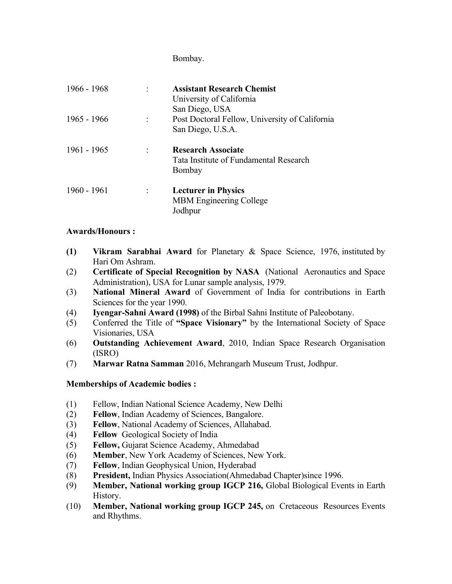Bombay.

| $1966 - 1968$ | <b>Assistant Research Chemist</b><br>University of California<br>San Diego, USA |
|---------------|---------------------------------------------------------------------------------|
| $1965 - 1966$ | Post Doctoral Fellow, University of California<br>San Diego, U.S.A.             |
| $1961 - 1965$ | <b>Research Associate</b><br>Tata Institute of Fundamental Research<br>Bombay   |
| 1960 - 1961   | <b>Lecturer in Physics</b><br><b>MBM Engineering College</b><br>Jodhpur         |

#### **Awards/Honours :**

- **(1) Vikram Sarabhai Award** for Planetary & Space Science, 1976, instituted by Hari Om Ashram.
- (2) **Certificate of Special Recognition by NASA** (National Aeronautics and Space Administration), USA for Lunar sample analysis, 1979.
- (3) **National Mineral Award** of Government of India for contributions in Earth Sciences for the year 1990.
- (4) **Iyengar-Sahni Award (1998)** of the Birbal Sahni Institute of Paleobotany.
- (5) Conferred the Title of **"Space Visionary"** by the International Society of Space Visionaries, USA
- (6) **Outstanding Achievement Award**, 2010, Indian Space Research Organisation (ISRO)
- (7) **Marwar Ratna Samman** 2016, Mehrangarh Museum Trust, Jodhpur.

#### **Memberships of Academic bodies :**

- (1) Fellow, Indian National Science Academy, New Delhi
- (2) **Fellow**, Indian Academy of Sciences, Bangalore.
- (3) **Fellow**, National Academy of Sciences, Allahabad.
- (4) **Fellow** Geological Society of India
- (5) **Fellow,** Gujarat Science Academy, Ahmedabad
- (6) **Member**, New York Academy of Sciences, New York.
- (7) **Fellow**, Indian Geophysical Union, Hyderabad
- (8) **President,** Indian Physics Association(Ahmedabad Chapter)since 1996.
- (9) **Member, National working group IGCP 216,** Global Biological Events in Earth History.
- (10) **Member, National working group IGCP 245,** on Cretaceous Resources Events and Rhythms.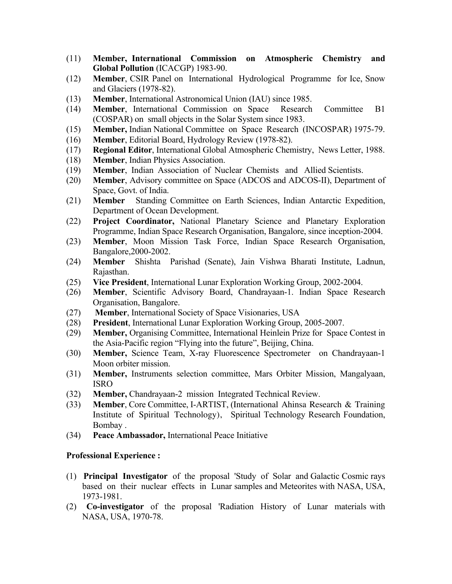- (11) **Member, International Commission on Atmospheric Chemistry and Global Pollution** (ICACGP) 1983-90.
- (12) **Member**, CSIR Panel on International Hydrological Programme for Ice, Snow and Glaciers (1978-82).
- (13) **Member**, International Astronomical Union (IAU) since 1985.
- (14) **Member**, International Commission on Space Research Committee B1 (COSPAR) on small objects in the Solar System since 1983.
- (15) **Member,** Indian National Committee on Space Research (INCOSPAR) 1975-79.
- (16) **Member**, Editorial Board, Hydrology Review (1978-82).
- (17) **Regional Editor**, International Global Atmospheric Chemistry, News Letter, 1988.
- (18) **Member**, Indian Physics Association.
- (19) **Member**, Indian Association of Nuclear Chemists and Allied Scientists.
- (20) **Member**, Advisory committee on Space (ADCOS and ADCOS-II), Department of Space, Govt. of India.
- (21) **Member** Standing Committee on Earth Sciences, Indian Antarctic Expedition, Department of Ocean Development.
- (22) **Project Coordinator,** National Planetary Science and Planetary Exploration Programme, Indian Space Research Organisation, Bangalore, since inception-2004.
- (23) **Member**, Moon Mission Task Force, Indian Space Research Organisation, Bangalore,2000-2002.
- (24) **Member** Shishta Parishad (Senate), Jain Vishwa Bharati Institute, Ladnun, Rajasthan.
- (25) **Vice President**, International Lunar Exploration Working Group, 2002-2004.
- (26) **Member**, Scientific Advisory Board, Chandrayaan-1. Indian Space Research Organisation, Bangalore.
- (27) **Member**, International Society of Space Visionaries, USA
- (28) **President**, International Lunar Exploration Working Group, 2005-2007.
- (29) **Member,** Organising Committee, International Heinlein Prize for Space Contest in the Asia-Pacific region "Flying into the future", Beijing, China.
- (30) **Member,** Science Team, X-ray Fluorescence Spectrometer on Chandrayaan-1 Moon orbiter mission.
- (31) **Member,** Instruments selection committee, Mars Orbiter Mission, Mangalyaan, ISRO
- (32) **Member,** Chandrayaan-2 mission Integrated Technical Review.
- (33) **Member**, Core Committee, I-ARTIST, (International Ahinsa Research & Training Institute of Spiritual Technology), Spiritual Technology Research Foundation, Bombay .
- (34) **Peace Ambassador,** International Peace Initiative

#### **Professional Experience :**

- (1) **Principal Investigator** of the proposal 'Study of Solar and Galactic Cosmic rays based on their nuclear effects in Lunar samples and Meteorites with NASA, USA, 1973-1981.
- (2) **Co-investigator** of the proposal 'Radiation History of Lunar materials with NASA, USA, 1970-78.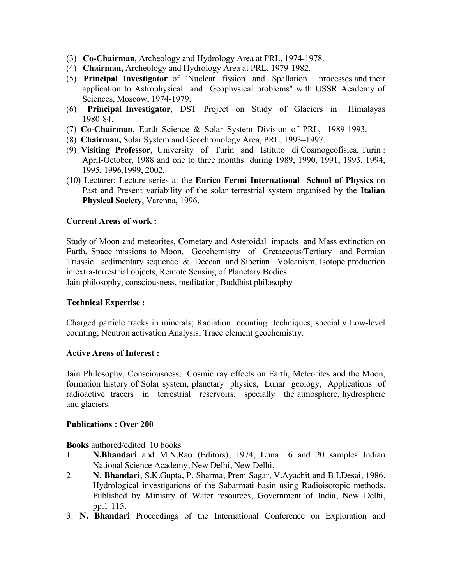- (3) **Co-Chairman**, Archeology and Hydrology Area at PRL, 1974-1978.
- (4) **Chairman,** Archeology and Hydrology Area at PRL, 1979-1982.
- (5) **Principal Investigator** of "Nuclear fission and Spallation processes and their application to Astrophysical and Geophysical problems" with USSR Academy of Sciences, Moscow, 1974-1979.
- (6) **Principal Investigator**, DST Project on Study of Glaciers in Himalayas 1980-84.
- (7) **Co-Chairman**, Earth Science & Solar System Division of PRL, 1989-1993.
- (8) **Chairman,** Solar System and Geochronology Area, PRL, 1993–1997.
- (9) **Visiting Professor**, University of Turin and Istituto di Cosmogeofisica, Turin : April-October, 1988 and one to three months during 1989, 1990, 1991, 1993, 1994, 1995, 1996,1999, 2002.
- (10) Lecturer: Lecture series at the **Enrico Fermi International School of Physics** on Past and Present variability of the solar terrestrial system organised by the **Italian Physical Society**, Varenna, 1996.

#### **Current Areas of work :**

Study of Moon and meteorites, Cometary and Asteroidal impacts and Mass extinction on Earth, Space missions to Moon, Geochemistry of Cretaceous/Tertiary and Permian Triassic sedimentary sequence & Deccan and Siberian Volcanism, Isotope production in extra-terrestrial objects, Remote Sensing of Planetary Bodies.

Jain philosophy, consciousness, meditation, Buddhist philosophy

#### **Technical Expertise :**

Charged particle tracks in minerals; Radiation counting techniques, specially Low-level counting; Neutron activation Analysis; Trace element geochemistry.

#### **Active Areas of Interest :**

Jain Philosophy, Consciousness, Cosmic ray effects on Earth, Meteorites and the Moon, formation history of Solar system, planetary physics, Lunar geology, Applications of radioactive tracers in terrestrial reservoirs, specially the atmosphere, hydrosphere and glaciers.

#### **Publications : Over 200**

**Books** authored/edited 10 books

- 1. **N.Bhandari** and M.N.Rao (Editors), 1974, Luna 16 and 20 samples Indian National Science Academy, New Delhi, New Delhi.
- 2. **N. Bhandari**, S.K.Gupta, P. Sharma, Prem Sagar, V.Ayachit and B.I.Desai, 1986, Hydrological investigations of the Sabarmati basin using Radioisotopic methods. Published by Ministry of Water resources, Government of India, New Delhi, pp.1-115.
- 3. **N. Bhandari** Proceedings of the International Conference on Exploration and